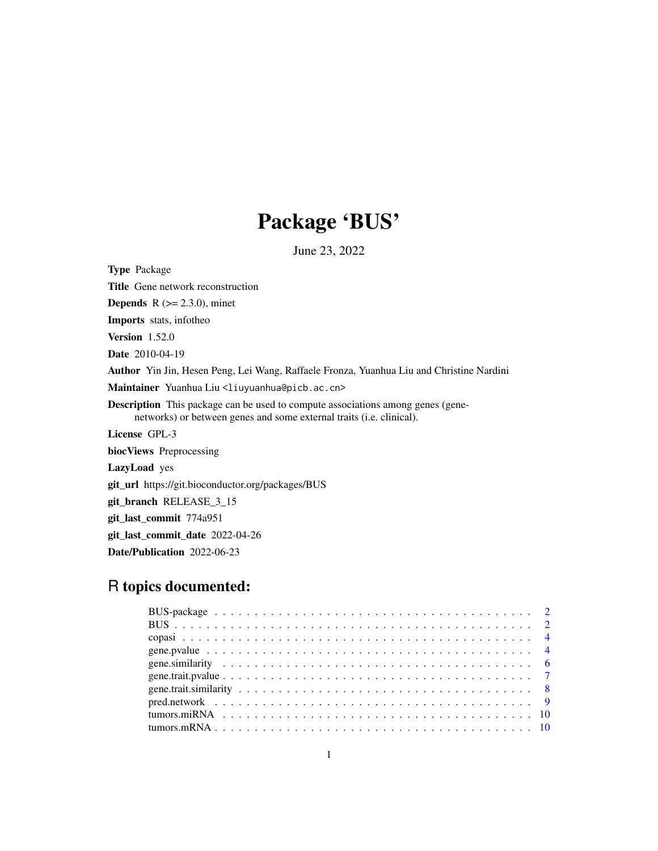## Package 'BUS'

June 23, 2022

Type Package Title Gene network reconstruction **Depends** R  $(>= 2.3.0)$ , minet Imports stats, infotheo Version 1.52.0 Date 2010-04-19 Author Yin Jin, Hesen Peng, Lei Wang, Raffaele Fronza, Yuanhua Liu and Christine Nardini Maintainer Yuanhua Liu <liuyuanhua@picb.ac.cn> Description This package can be used to compute associations among genes (genenetworks) or between genes and some external traits (i.e. clinical). License GPL-3 biocViews Preprocessing LazyLoad yes git\_url https://git.bioconductor.org/packages/BUS git\_branch RELEASE\_3\_15 git\_last\_commit 774a951 git\_last\_commit\_date 2022-04-26

Date/Publication 2022-06-23

### R topics documented: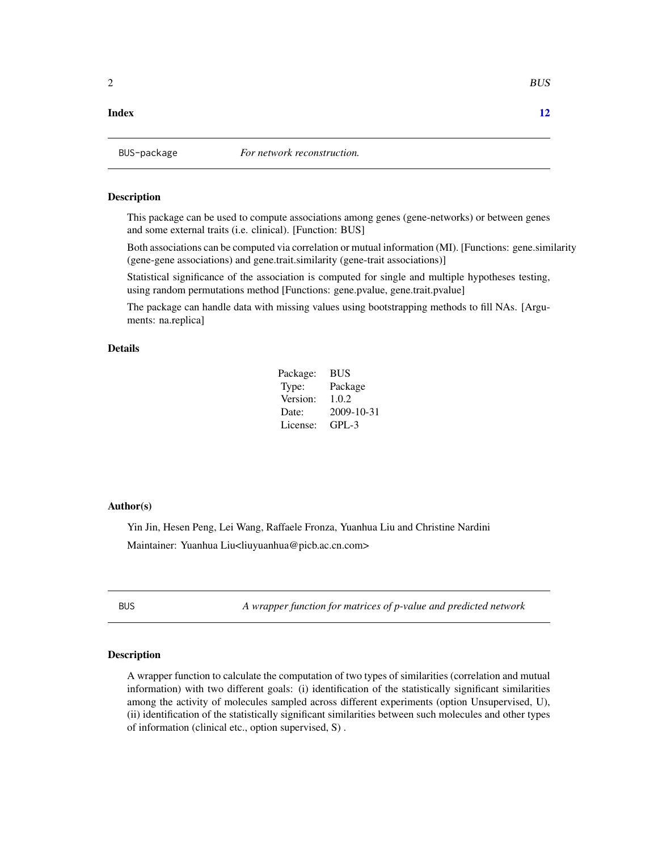#### <span id="page-1-0"></span>**Index** [12](#page-11-0)

BUS-package *For network reconstruction.*

#### Description

This package can be used to compute associations among genes (gene-networks) or between genes and some external traits (i.e. clinical). [Function: BUS]

Both associations can be computed via correlation or mutual information (MI). [Functions: gene.similarity (gene-gene associations) and gene.trait.similarity (gene-trait associations)]

Statistical significance of the association is computed for single and multiple hypotheses testing, using random permutations method [Functions: gene.pvalue, gene.trait.pvalue]

The package can handle data with missing values using bootstrapping methods to fill NAs. [Arguments: na.replica]

#### Details

| Package: | <b>BUS</b> |
|----------|------------|
| Type:    | Package    |
| Version: | 1.0.2      |
| Date:    | 2009-10-31 |
| License: | $GPL-3$    |

#### Author(s)

Yin Jin, Hesen Peng, Lei Wang, Raffaele Fronza, Yuanhua Liu and Christine Nardini Maintainer: Yuanhua Liu<liuyuanhua@picb.ac.cn.com>

BUS *A wrapper function for matrices of p-value and predicted network*

#### **Description**

A wrapper function to calculate the computation of two types of similarities (correlation and mutual information) with two different goals: (i) identification of the statistically significant similarities among the activity of molecules sampled across different experiments (option Unsupervised, U), (ii) identification of the statistically significant similarities between such molecules and other types of information (clinical etc., option supervised, S) .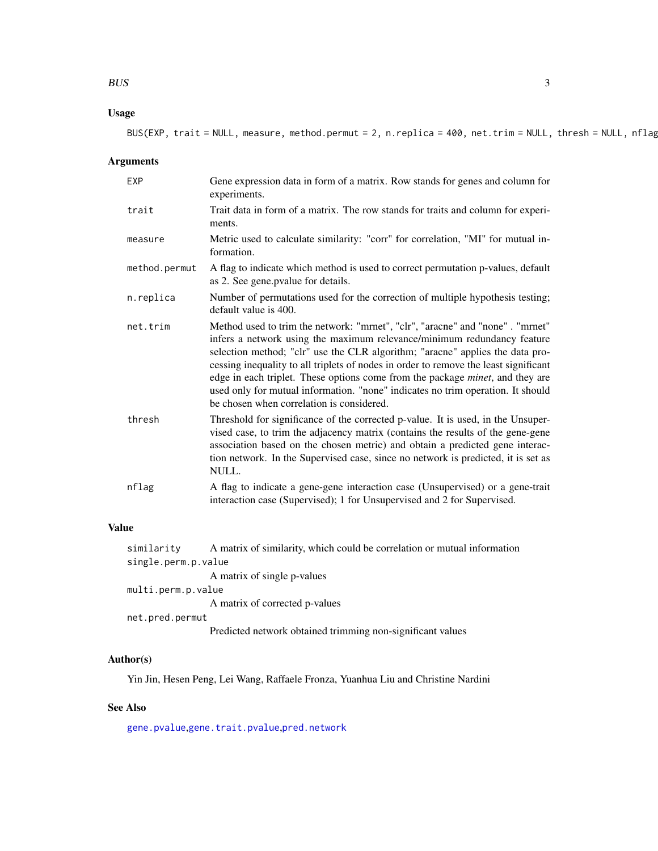#### <span id="page-2-0"></span>BUS 3

#### Usage

BUS(EXP, trait = NULL, measure, method.permut = 2, n.replica = 400, net.trim = NULL, thresh = NULL, nflag)

#### Arguments

| <b>EXP</b>    | Gene expression data in form of a matrix. Row stands for genes and column for<br>experiments.                                                                                                                                                                                                                                                                                                                                                                                                                                                              |
|---------------|------------------------------------------------------------------------------------------------------------------------------------------------------------------------------------------------------------------------------------------------------------------------------------------------------------------------------------------------------------------------------------------------------------------------------------------------------------------------------------------------------------------------------------------------------------|
| trait         | Trait data in form of a matrix. The row stands for traits and column for experi-<br>ments.                                                                                                                                                                                                                                                                                                                                                                                                                                                                 |
| measure       | Metric used to calculate similarity: "corr" for correlation, "MI" for mutual in-<br>formation.                                                                                                                                                                                                                                                                                                                                                                                                                                                             |
| method.permut | A flag to indicate which method is used to correct permutation p-values, default<br>as 2. See gene.pvalue for details.                                                                                                                                                                                                                                                                                                                                                                                                                                     |
| n.replica     | Number of permutations used for the correction of multiple hypothesis testing;<br>default value is 400.                                                                                                                                                                                                                                                                                                                                                                                                                                                    |
| net.trim      | Method used to trim the network: "mrnet", "clr", "aracne" and "none". "mrnet"<br>infers a network using the maximum relevance/minimum redundancy feature<br>selection method; "clr" use the CLR algorithm; "aracne" applies the data pro-<br>cessing inequality to all triplets of nodes in order to remove the least significant<br>edge in each triplet. These options come from the package <i>minet</i> , and they are<br>used only for mutual information. "none" indicates no trim operation. It should<br>be chosen when correlation is considered. |
| thresh        | Threshold for significance of the corrected p-value. It is used, in the Unsuper-<br>vised case, to trim the adjacency matrix (contains the results of the gene-gene<br>association based on the chosen metric) and obtain a predicted gene interac-<br>tion network. In the Supervised case, since no network is predicted, it is set as<br>NULL.                                                                                                                                                                                                          |
| nflag         | A flag to indicate a gene-gene interaction case (Unsupervised) or a gene-trait<br>interaction case (Supervised); 1 for Unsupervised and 2 for Supervised.                                                                                                                                                                                                                                                                                                                                                                                                  |

#### Value

| similarity          | A matrix of similarity, which could be correlation or mutual information |
|---------------------|--------------------------------------------------------------------------|
| single.perm.p.value |                                                                          |
|                     | A matrix of single p-values                                              |
| multi.perm.p.value  |                                                                          |
|                     | A matrix of corrected p-values                                           |
| net.pred.permut     |                                                                          |
|                     | Predicted network obtained trimming non-significant values               |

#### Author(s)

Yin Jin, Hesen Peng, Lei Wang, Raffaele Fronza, Yuanhua Liu and Christine Nardini

#### See Also

[gene.pvalue](#page-3-1),[gene.trait.pvalue](#page-6-1),[pred.network](#page-8-1)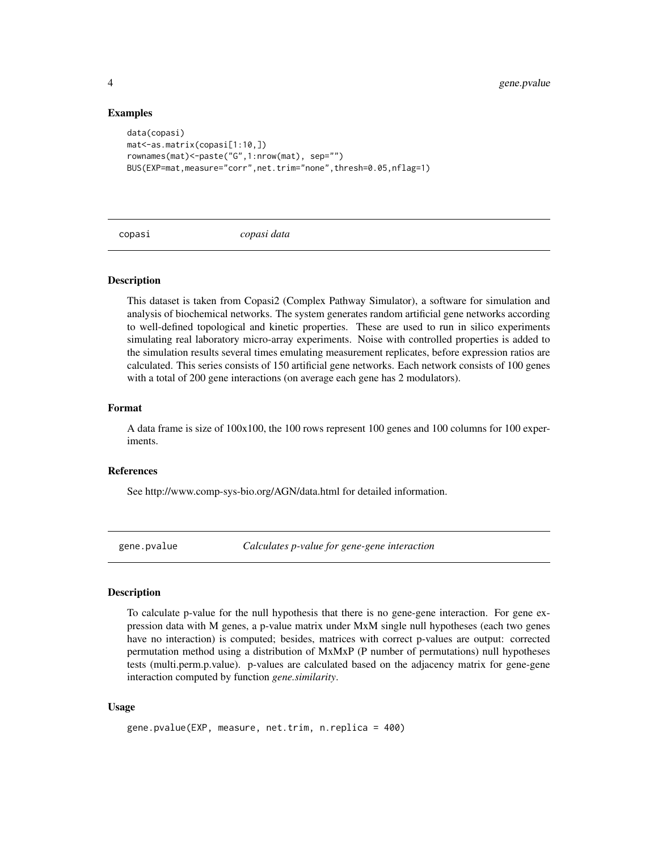#### Examples

```
data(copasi)
mat<-as.matrix(copasi[1:10,])
rownames(mat)<-paste("G",1:nrow(mat), sep="")
BUS(EXP=mat,measure="corr",net.trim="none",thresh=0.05,nflag=1)
```
copasi *copasi data*

#### Description

This dataset is taken from Copasi2 (Complex Pathway Simulator), a software for simulation and analysis of biochemical networks. The system generates random artificial gene networks according to well-defined topological and kinetic properties. These are used to run in silico experiments simulating real laboratory micro-array experiments. Noise with controlled properties is added to the simulation results several times emulating measurement replicates, before expression ratios are calculated. This series consists of 150 artificial gene networks. Each network consists of 100 genes with a total of 200 gene interactions (on average each gene has 2 modulators).

#### Format

A data frame is size of 100x100, the 100 rows represent 100 genes and 100 columns for 100 experiments.

#### References

See http://www.comp-sys-bio.org/AGN/data.html for detailed information.

<span id="page-3-1"></span>gene.pvalue *Calculates p-value for gene-gene interaction*

#### Description

To calculate p-value for the null hypothesis that there is no gene-gene interaction. For gene expression data with M genes, a p-value matrix under MxM single null hypotheses (each two genes have no interaction) is computed; besides, matrices with correct p-values are output: corrected permutation method using a distribution of MxMxP (P number of permutations) null hypotheses tests (multi.perm.p.value). p-values are calculated based on the adjacency matrix for gene-gene interaction computed by function *gene.similarity*.

#### Usage

```
gene.pvalue(EXP, measure, net.trim, n.replica = 400)
```
<span id="page-3-0"></span>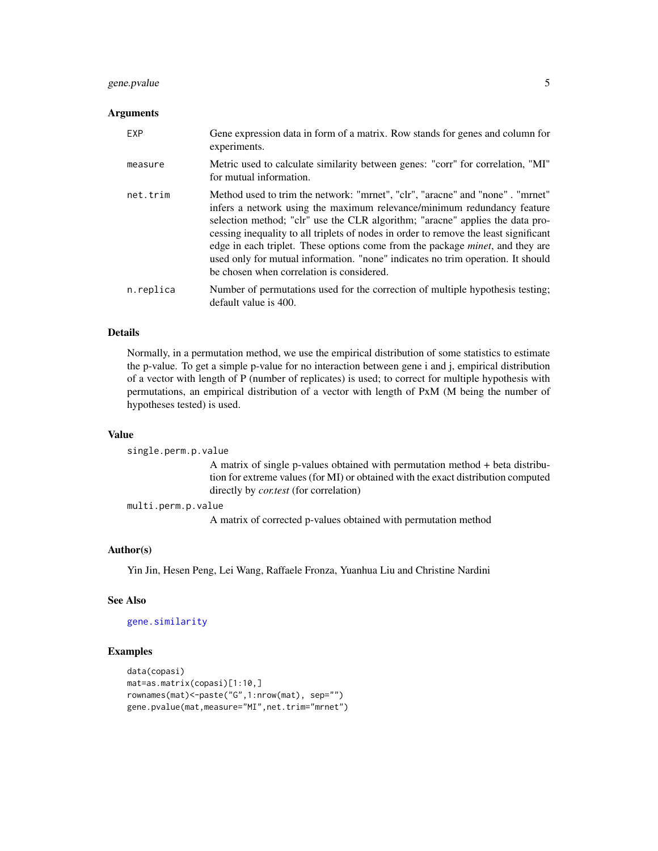#### <span id="page-4-0"></span>gene.pvalue 5

#### Arguments

| EXP       | Gene expression data in form of a matrix. Row stands for genes and column for<br>experiments.                                                                                                                                                                                                                                                                                                                                                                                                                                                              |
|-----------|------------------------------------------------------------------------------------------------------------------------------------------------------------------------------------------------------------------------------------------------------------------------------------------------------------------------------------------------------------------------------------------------------------------------------------------------------------------------------------------------------------------------------------------------------------|
| measure   | Metric used to calculate similarity between genes: "corr" for correlation, "MI"<br>for mutual information.                                                                                                                                                                                                                                                                                                                                                                                                                                                 |
| net.trim  | Method used to trim the network: "mrnet", "clr", "aracne" and "none". "mrnet"<br>infers a network using the maximum relevance/minimum redundancy feature<br>selection method; "clr" use the CLR algorithm; "aracne" applies the data pro-<br>cessing inequality to all triplets of nodes in order to remove the least significant<br>edge in each triplet. These options come from the package <i>minet</i> , and they are<br>used only for mutual information. "none" indicates no trim operation. It should<br>be chosen when correlation is considered. |
| n.replica | Number of permutations used for the correction of multiple hypothesis testing;<br>default value is 400.                                                                                                                                                                                                                                                                                                                                                                                                                                                    |

#### Details

Normally, in a permutation method, we use the empirical distribution of some statistics to estimate the p-value. To get a simple p-value for no interaction between gene i and j, empirical distribution of a vector with length of P (number of replicates) is used; to correct for multiple hypothesis with permutations, an empirical distribution of a vector with length of PxM (M being the number of hypotheses tested) is used.

#### Value

single.perm.p.value A matrix of single p-values obtained with permutation method + beta distribution for extreme values (for MI) or obtained with the exact distribution computed directly by *cor.test* (for correlation)

multi.perm.p.value

A matrix of corrected p-values obtained with permutation method

#### Author(s)

Yin Jin, Hesen Peng, Lei Wang, Raffaele Fronza, Yuanhua Liu and Christine Nardini

#### See Also

[gene.similarity](#page-5-1)

#### Examples

```
data(copasi)
mat=as.matrix(copasi)[1:10,]
rownames(mat)<-paste("G",1:nrow(mat), sep="")
gene.pvalue(mat,measure="MI",net.trim="mrnet")
```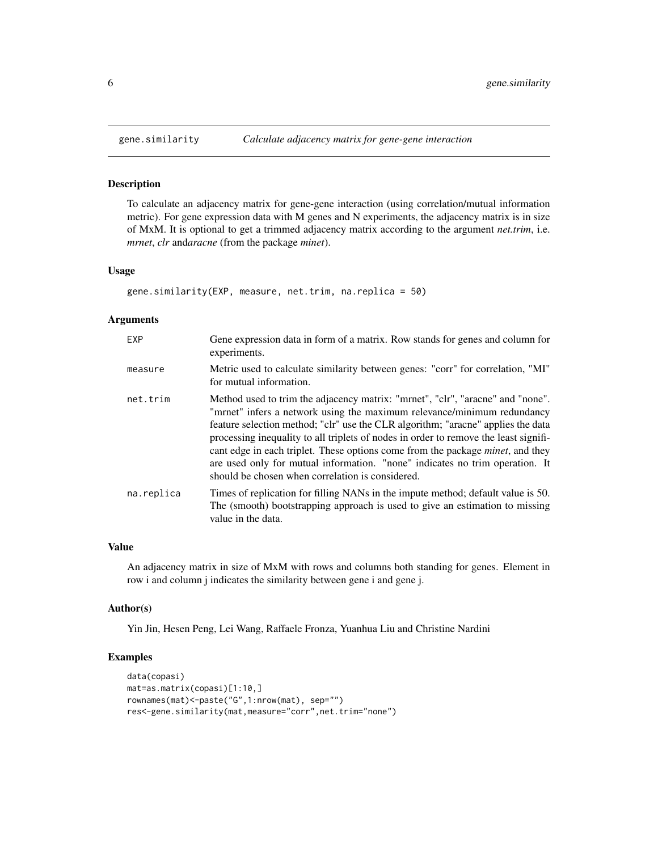#### Description

To calculate an adjacency matrix for gene-gene interaction (using correlation/mutual information metric). For gene expression data with M genes and N experiments, the adjacency matrix is in size of MxM. It is optional to get a trimmed adjacency matrix according to the argument *net.trim*, i.e. *mrnet*, *clr* and*aracne* (from the package *minet*).

#### Usage

```
gene.similarity(EXP, measure, net.trim, na.replica = 50)
```
#### Arguments

| EXP        | Gene expression data in form of a matrix. Row stands for genes and column for<br>experiments.                                                                                                                                                                                                                                                                                                                                                                                                                                                                       |
|------------|---------------------------------------------------------------------------------------------------------------------------------------------------------------------------------------------------------------------------------------------------------------------------------------------------------------------------------------------------------------------------------------------------------------------------------------------------------------------------------------------------------------------------------------------------------------------|
| measure    | Metric used to calculate similarity between genes: "corr" for correlation, "MI"<br>for mutual information.                                                                                                                                                                                                                                                                                                                                                                                                                                                          |
| net.trim   | Method used to trim the adjacency matrix: "mrnet", "clr", "aracne" and "none".<br>"mrnet" infers a network using the maximum relevance/minimum redundancy<br>feature selection method; "clr" use the CLR algorithm; "aracne" applies the data<br>processing inequality to all triplets of nodes in order to remove the least signifi-<br>cant edge in each triplet. These options come from the package <i>minet</i> , and they<br>are used only for mutual information. "none" indicates no trim operation. It<br>should be chosen when correlation is considered. |
| na.replica | Times of replication for filling NANs in the impute method; default value is 50.<br>The (smooth) bootstrapping approach is used to give an estimation to missing<br>value in the data.                                                                                                                                                                                                                                                                                                                                                                              |

#### Value

An adjacency matrix in size of MxM with rows and columns both standing for genes. Element in row i and column j indicates the similarity between gene i and gene j.

#### Author(s)

Yin Jin, Hesen Peng, Lei Wang, Raffaele Fronza, Yuanhua Liu and Christine Nardini

#### Examples

```
data(copasi)
mat=as.matrix(copasi)[1:10,]
rownames(mat)<-paste("G",1:nrow(mat), sep="")
res<-gene.similarity(mat,measure="corr",net.trim="none")
```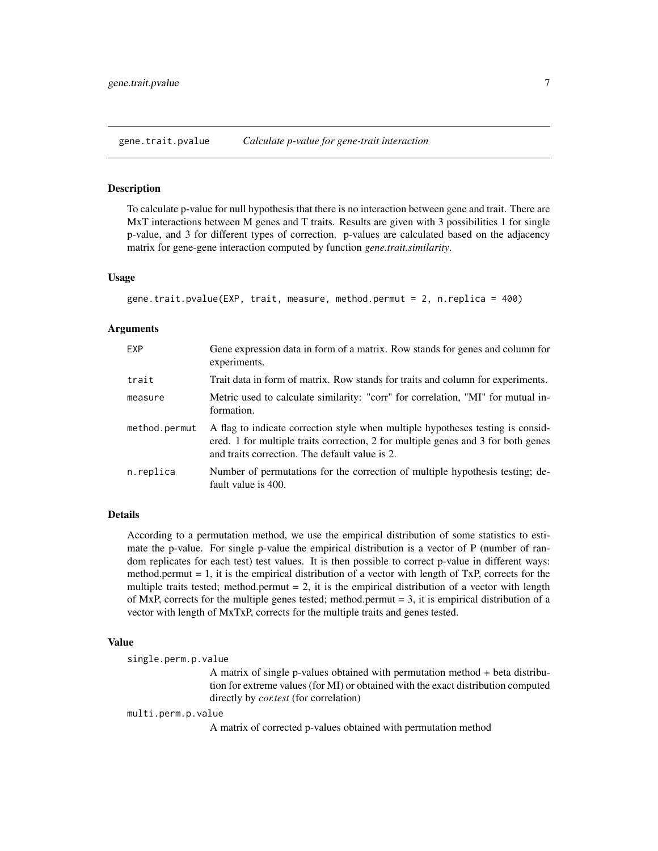<span id="page-6-1"></span><span id="page-6-0"></span>gene.trait.pvalue *Calculate p-value for gene-trait interaction*

#### Description

To calculate p-value for null hypothesis that there is no interaction between gene and trait. There are MxT interactions between M genes and T traits. Results are given with 3 possibilities 1 for single p-value, and 3 for different types of correction. p-values are calculated based on the adjacency matrix for gene-gene interaction computed by function *gene.trait.similarity*.

#### Usage

```
gene.trait.pvalue(EXP, trait, measure, method.permut = 2, n.replica = 400)
```
#### Arguments

| EXP           | Gene expression data in form of a matrix. Row stands for genes and column for<br>experiments.                                                                                                                          |
|---------------|------------------------------------------------------------------------------------------------------------------------------------------------------------------------------------------------------------------------|
| trait         | Trait data in form of matrix. Row stands for traits and column for experiments.                                                                                                                                        |
| measure       | Metric used to calculate similarity: "corr" for correlation, "MI" for mutual in-<br>formation.                                                                                                                         |
| method.permut | A flag to indicate correction style when multiple hypotheses testing is consid-<br>ered. 1 for multiple traits correction, 2 for multiple genes and 3 for both genes<br>and traits correction. The default value is 2. |
| n.replica     | Number of permutations for the correction of multiple hypothesis testing; de-<br>fault value is 400.                                                                                                                   |

#### Details

According to a permutation method, we use the empirical distribution of some statistics to estimate the p-value. For single p-value the empirical distribution is a vector of P (number of random replicates for each test) test values. It is then possible to correct p-value in different ways: method.permut  $= 1$ , it is the empirical distribution of a vector with length of TxP, corrects for the multiple traits tested; method.permut  $= 2$ , it is the empirical distribution of a vector with length of MxP, corrects for the multiple genes tested; method.permut  $= 3$ , it is empirical distribution of a vector with length of MxTxP, corrects for the multiple traits and genes tested.

#### Value

single.perm.p.value

A matrix of single p-values obtained with permutation method + beta distribution for extreme values (for MI) or obtained with the exact distribution computed directly by *cor.test* (for correlation)

multi.perm.p.value

A matrix of corrected p-values obtained with permutation method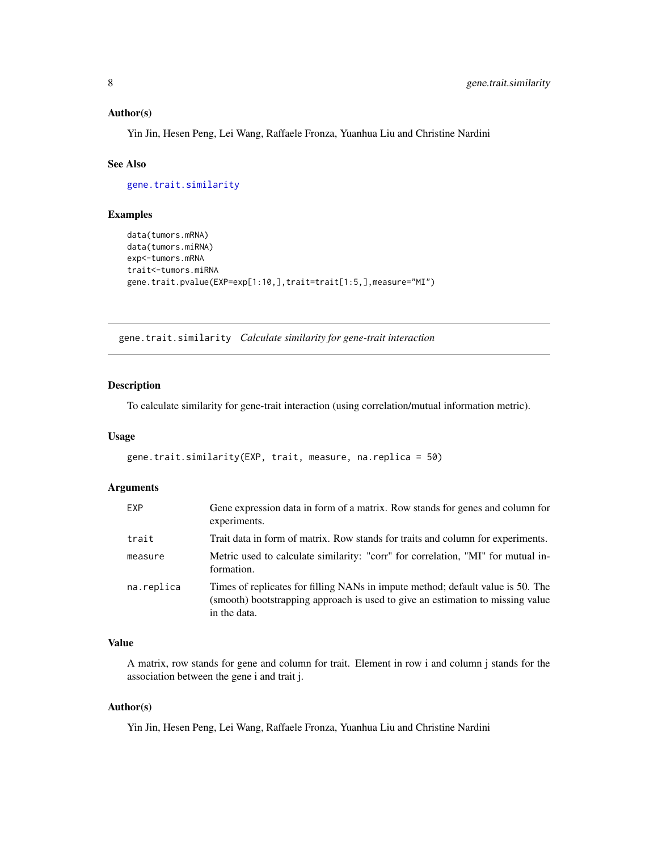#### <span id="page-7-0"></span>Author(s)

Yin Jin, Hesen Peng, Lei Wang, Raffaele Fronza, Yuanhua Liu and Christine Nardini

#### See Also

[gene.trait.similarity](#page-7-1)

#### Examples

```
data(tumors.mRNA)
data(tumors.miRNA)
exp<-tumors.mRNA
trait<-tumors.miRNA
gene.trait.pvalue(EXP=exp[1:10,],trait=trait[1:5,],measure="MI")
```
<span id="page-7-1"></span>gene.trait.similarity *Calculate similarity for gene-trait interaction*

#### Description

To calculate similarity for gene-trait interaction (using correlation/mutual information metric).

#### Usage

```
gene.trait.similarity(EXP, trait, measure, na.replica = 50)
```
#### Arguments

| EXP        | Gene expression data in form of a matrix. Row stands for genes and column for<br>experiments.                                                                                     |
|------------|-----------------------------------------------------------------------------------------------------------------------------------------------------------------------------------|
| trait      | Trait data in form of matrix. Row stands for traits and column for experiments.                                                                                                   |
| measure    | Metric used to calculate similarity: "corr" for correlation, "MI" for mutual in-<br>formation.                                                                                    |
| na.replica | Times of replicates for filling NANs in impute method; default value is 50. The<br>(smooth) bootstrapping approach is used to give an estimation to missing value<br>in the data. |

#### Value

A matrix, row stands for gene and column for trait. Element in row i and column j stands for the association between the gene i and trait j.

#### Author(s)

Yin Jin, Hesen Peng, Lei Wang, Raffaele Fronza, Yuanhua Liu and Christine Nardini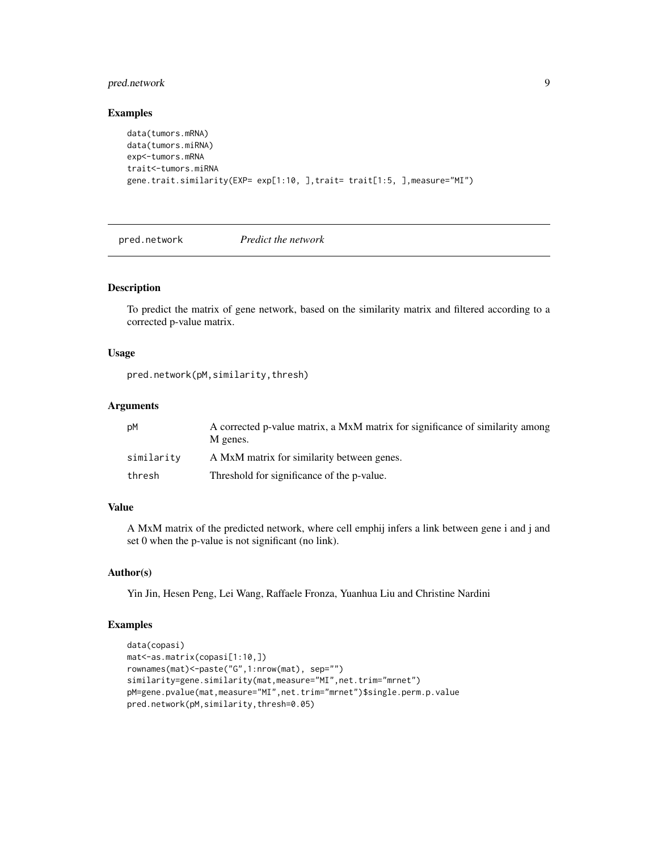#### <span id="page-8-0"></span>pred.network 9

#### Examples

```
data(tumors.mRNA)
data(tumors.miRNA)
exp<-tumors.mRNA
trait<-tumors.miRNA
gene.trait.similarity(EXP= exp[1:10, ],trait= trait[1:5, ],measure="MI")
```
<span id="page-8-1"></span>pred.network *Predict the network*

#### Description

To predict the matrix of gene network, based on the similarity matrix and filtered according to a corrected p-value matrix.

#### Usage

pred.network(pM,similarity,thresh)

#### Arguments

| рM         | A corrected p-value matrix, a MxM matrix for significance of similarity among<br>M genes. |
|------------|-------------------------------------------------------------------------------------------|
| similarity | A MxM matrix for similarity between genes.                                                |
| thresh     | Threshold for significance of the p-value.                                                |

#### Value

A MxM matrix of the predicted network, where cell emphij infers a link between gene i and j and set 0 when the p-value is not significant (no link).

#### Author(s)

Yin Jin, Hesen Peng, Lei Wang, Raffaele Fronza, Yuanhua Liu and Christine Nardini

#### Examples

```
data(copasi)
mat<-as.matrix(copasi[1:10,])
rownames(mat)<-paste("G",1:nrow(mat), sep="")
similarity=gene.similarity(mat,measure="MI",net.trim="mrnet")
pM=gene.pvalue(mat,measure="MI",net.trim="mrnet")$single.perm.p.value
pred.network(pM,similarity,thresh=0.05)
```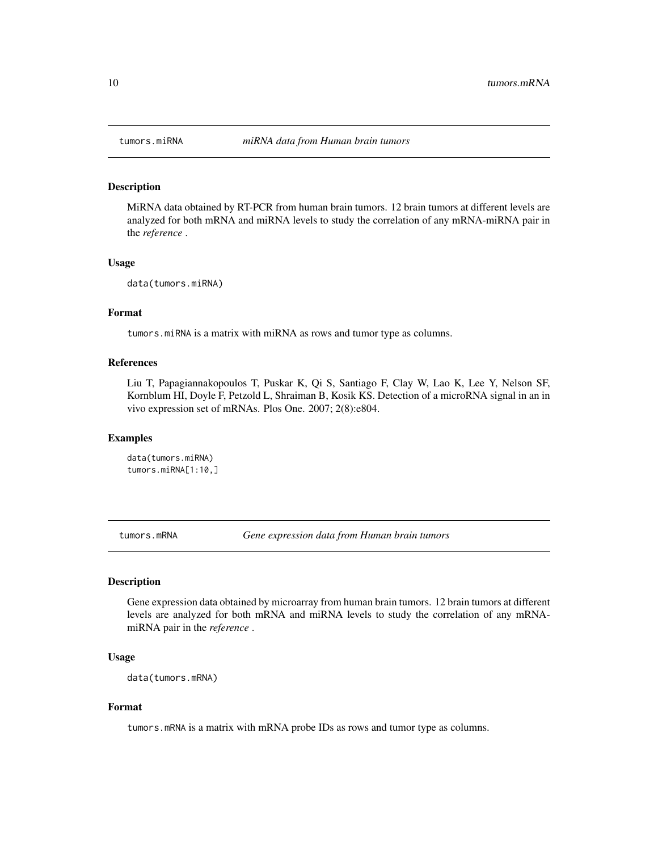<span id="page-9-0"></span>

#### Description

MiRNA data obtained by RT-PCR from human brain tumors. 12 brain tumors at different levels are analyzed for both mRNA and miRNA levels to study the correlation of any mRNA-miRNA pair in the *reference* .

#### Usage

data(tumors.miRNA)

#### Format

tumors.miRNA is a matrix with miRNA as rows and tumor type as columns.

#### References

Liu T, Papagiannakopoulos T, Puskar K, Qi S, Santiago F, Clay W, Lao K, Lee Y, Nelson SF, Kornblum HI, Doyle F, Petzold L, Shraiman B, Kosik KS. Detection of a microRNA signal in an in vivo expression set of mRNAs. Plos One. 2007; 2(8):e804.

#### Examples

data(tumors.miRNA) tumors.miRNA[1:10,]

tumors.mRNA *Gene expression data from Human brain tumors*

#### Description

Gene expression data obtained by microarray from human brain tumors. 12 brain tumors at different levels are analyzed for both mRNA and miRNA levels to study the correlation of any mRNAmiRNA pair in the *reference* .

#### Usage

data(tumors.mRNA)

#### Format

tumors.mRNA is a matrix with mRNA probe IDs as rows and tumor type as columns.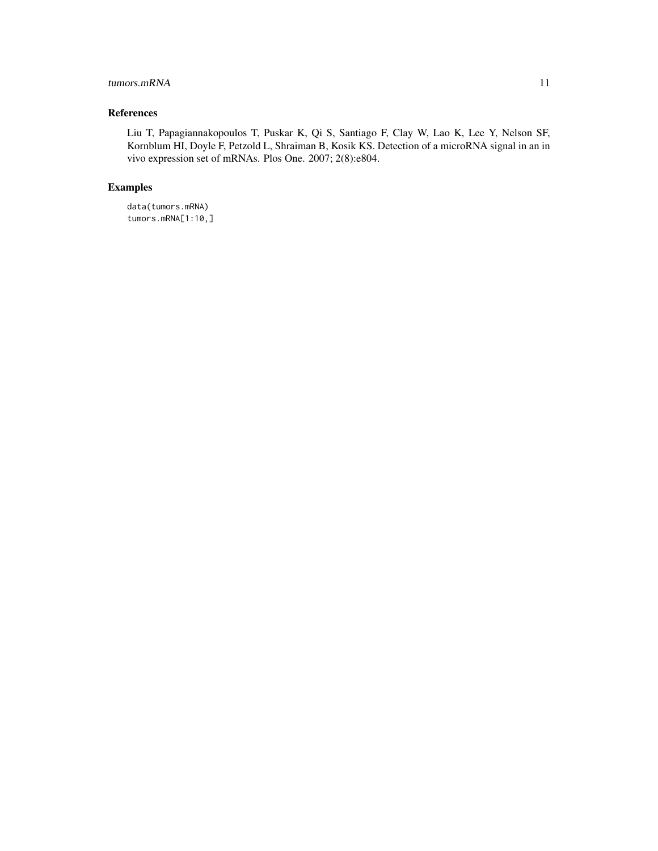#### tumors.mRNA 11

#### References

Liu T, Papagiannakopoulos T, Puskar K, Qi S, Santiago F, Clay W, Lao K, Lee Y, Nelson SF, Kornblum HI, Doyle F, Petzold L, Shraiman B, Kosik KS. Detection of a microRNA signal in an in vivo expression set of mRNAs. Plos One. 2007; 2(8):e804.

#### Examples

data(tumors.mRNA) tumors.mRNA[1:10,]